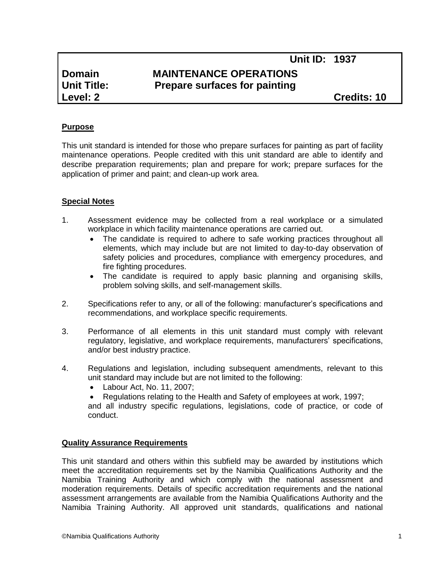# **Domain MAINTENANCE OPERATIONS Unit Title: Prepare surfaces for painting**

**Level: 2 Credits: 10**

## **Purpose**

This unit standard is intended for those who prepare surfaces for painting as part of facility maintenance operations. People credited with this unit standard are able to identify and describe preparation requirements; plan and prepare for work; prepare surfaces for the application of primer and paint; and clean-up work area.

#### **Special Notes**

- 1. Assessment evidence may be collected from a real workplace or a simulated workplace in which facility maintenance operations are carried out.
	- The candidate is required to adhere to safe working practices throughout all elements, which may include but are not limited to day-to-day observation of safety policies and procedures, compliance with emergency procedures, and fire fighting procedures.
	- The candidate is required to apply basic planning and organising skills, problem solving skills, and self-management skills.
- 2. Specifications refer to any, or all of the following: manufacturer's specifications and recommendations, and workplace specific requirements.
- 3. Performance of all elements in this unit standard must comply with relevant regulatory, legislative, and workplace requirements, manufacturers' specifications, and/or best industry practice.
- 4. Regulations and legislation, including subsequent amendments, relevant to this unit standard may include but are not limited to the following:
	- Labour Act, No. 11, 2007;
	- Regulations relating to the Health and Safety of employees at work, 1997;

and all industry specific regulations, legislations, code of practice, or code of conduct.

#### **Quality Assurance Requirements**

This unit standard and others within this subfield may be awarded by institutions which meet the accreditation requirements set by the Namibia Qualifications Authority and the Namibia Training Authority and which comply with the national assessment and moderation requirements. Details of specific accreditation requirements and the national assessment arrangements are available from the Namibia Qualifications Authority and the Namibia Training Authority. All approved unit standards, qualifications and national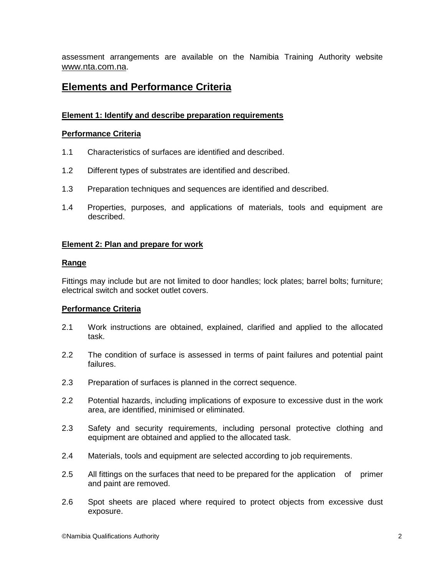assessment arrangements are available on the Namibia Training Authority website [www.nta.com.na](http://www.nta.com.na/).

# **Elements and Performance Criteria**

# **Element 1: Identify and describe preparation requirements**

# **Performance Criteria**

- 1.1 Characteristics of surfaces are identified and described.
- 1.2 Different types of substrates are identified and described.
- 1.3 Preparation techniques and sequences are identified and described.
- 1.4 Properties, purposes, and applications of materials, tools and equipment are described.

#### **Element 2: Plan and prepare for work**

#### **Range**

Fittings may include but are not limited to door handles; lock plates; barrel bolts; furniture; electrical switch and socket outlet covers.

# **Performance Criteria**

- 2.1 Work instructions are obtained, explained, clarified and applied to the allocated task.
- 2.2 The condition of surface is assessed in terms of paint failures and potential paint failures.
- 2.3 Preparation of surfaces is planned in the correct sequence.
- 2.2 Potential hazards, including implications of exposure to excessive dust in the work area, are identified, minimised or eliminated.
- 2.3 Safety and security requirements, including personal protective clothing and equipment are obtained and applied to the allocated task.
- 2.4 Materials, tools and equipment are selected according to job requirements.
- 2.5 All fittings on the surfaces that need to be prepared for the application of primer and paint are removed.
- 2.6 Spot sheets are placed where required to protect objects from excessive dust exposure.